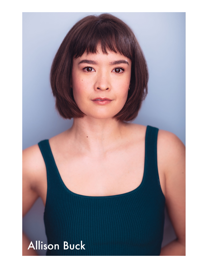